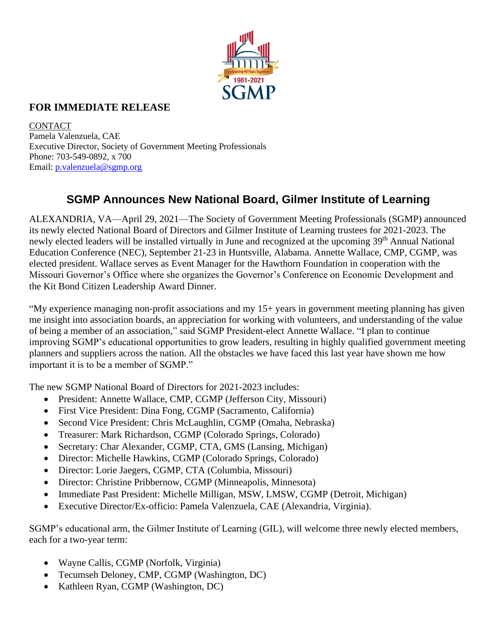

## **FOR IMMEDIATE RELEASE**

**CONTACT** Pamela Valenzuela, CAE Executive Director, Society of Government Meeting Professionals Phone: 703-549-0892, x 700 Email: [p.valenzuela@sgmp.org](mailto:p.valenzuela@sgmp.org)

## **SGMP Announces New National Board, Gilmer Institute of Learning**

ALEXANDRIA, VA—April 29, 2021—The Society of Government Meeting Professionals (SGMP) announced its newly elected National Board of Directors and Gilmer Institute of Learning trustees for 2021-2023. The newly elected leaders will be installed virtually in June and recognized at the upcoming 39<sup>th</sup> Annual National Education Conference (NEC), September 21-23 in Huntsville, Alabama. Annette Wallace, CMP, CGMP, was elected president. Wallace serves as Event Manager for the Hawthorn Foundation in cooperation with the Missouri Governor's Office where she organizes the Governor's Conference on Economic Development and the Kit Bond Citizen Leadership Award Dinner.

"My experience managing non-profit associations and my 15+ years in government meeting planning has given me insight into association boards, an appreciation for working with volunteers, and understanding of the value of being a member of an association," said SGMP President-elect Annette Wallace. "I plan to continue improving SGMP's educational opportunities to grow leaders, resulting in highly qualified government meeting planners and suppliers across the nation. All the obstacles we have faced this last year have shown me how important it is to be a member of SGMP."

The new SGMP National Board of Directors for 2021-2023 includes:

- President: Annette Wallace, CMP, CGMP (Jefferson City, Missouri)
- First Vice President: Dina Fong, CGMP (Sacramento, California)
- Second Vice President: Chris McLaughlin, CGMP (Omaha, Nebraska)
- Treasurer: Mark Richardson, CGMP (Colorado Springs, Colorado)
- Secretary: Char Alexander, CGMP, CTA, GMS (Lansing, Michigan)
- Director: Michelle Hawkins, CGMP (Colorado Springs, Colorado)
- Director: Lorie Jaegers, CGMP, CTA (Columbia, Missouri)
- Director: Christine Pribbernow, CGMP (Minneapolis, Minnesota)
- Immediate Past President: Michelle Milligan, MSW, LMSW, CGMP (Detroit, Michigan)
- Executive Director/Ex-officio: Pamela Valenzuela, CAE (Alexandria, Virginia).

SGMP's educational arm, the Gilmer Institute of Learning (GIL), will welcome three newly elected members, each for a two-year term:

- Wayne Callis, CGMP (Norfolk, Virginia)
- Tecumseh Deloney, CMP, CGMP (Washington, DC)
- Kathleen Ryan, CGMP (Washington, DC)